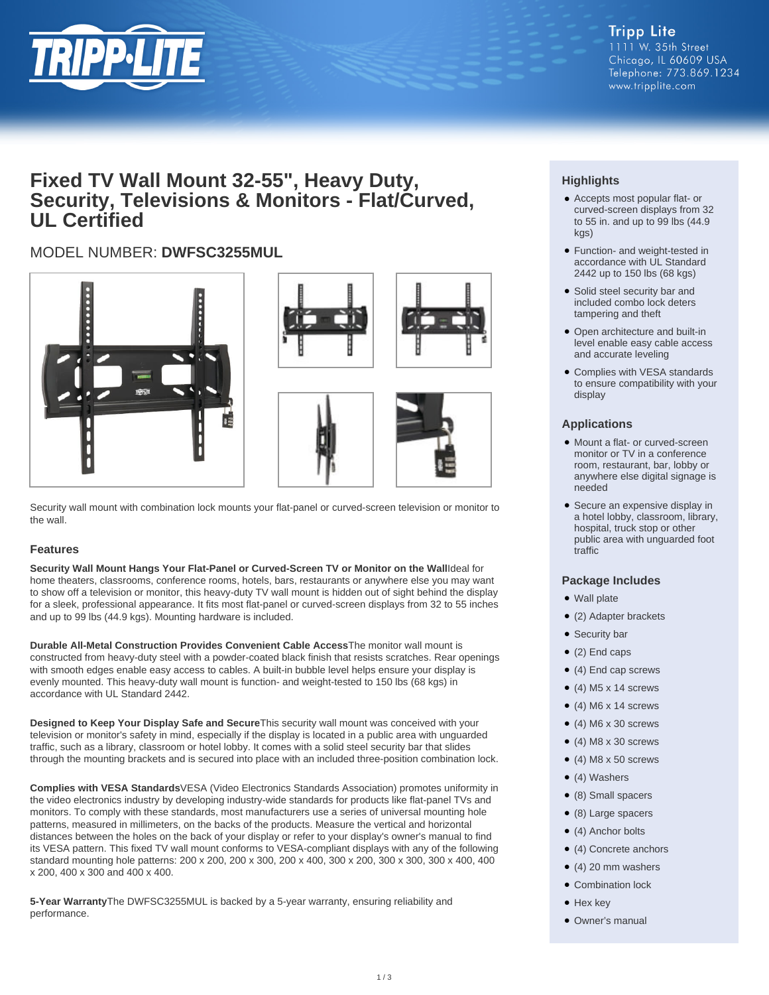

# **Fixed TV Wall Mount 32-55", Heavy Duty, Security, Televisions & Monitors - Flat/Curved, UL Certified**

# MODEL NUMBER: **DWFSC3255MUL**





Security wall mount with combination lock mounts your flat-panel or curved-screen television or monitor to the wall.

### **Features**

**Security Wall Mount Hangs Your Flat-Panel or Curved-Screen TV or Monitor on the Wall**Ideal for home theaters, classrooms, conference rooms, hotels, bars, restaurants or anywhere else you may want to show off a television or monitor, this heavy-duty TV wall mount is hidden out of sight behind the display for a sleek, professional appearance. It fits most flat-panel or curved-screen displays from 32 to 55 inches and up to 99 lbs (44.9 kgs). Mounting hardware is included.

**Durable All-Metal Construction Provides Convenient Cable Access**The monitor wall mount is constructed from heavy-duty steel with a powder-coated black finish that resists scratches. Rear openings with smooth edges enable easy access to cables. A built-in bubble level helps ensure your display is evenly mounted. This heavy-duty wall mount is function- and weight-tested to 150 lbs (68 kgs) in accordance with UL Standard 2442.

**Designed to Keep Your Display Safe and Secure**This security wall mount was conceived with your television or monitor's safety in mind, especially if the display is located in a public area with unguarded traffic, such as a library, classroom or hotel lobby. It comes with a solid steel security bar that slides through the mounting brackets and is secured into place with an included three-position combination lock.

**Complies with VESA Standards**VESA (Video Electronics Standards Association) promotes uniformity in the video electronics industry by developing industry-wide standards for products like flat-panel TVs and monitors. To comply with these standards, most manufacturers use a series of universal mounting hole patterns, measured in millimeters, on the backs of the products. Measure the vertical and horizontal distances between the holes on the back of your display or refer to your display's owner's manual to find its VESA pattern. This fixed TV wall mount conforms to VESA-compliant displays with any of the following standard mounting hole patterns: 200 x 200, 200 x 300, 200 x 400, 300 x 200, 300 x 300, 300 x 400, 400 x 200, 400 x 300 and 400 x 400.

**5-Year Warranty**The DWFSC3255MUL is backed by a 5-year warranty, ensuring reliability and performance.

## **Highlights**

- Accepts most popular flat- or curved-screen displays from 32 to 55 in. and up to 99 lbs (44.9 kgs)
- Function- and weight-tested in accordance with UL Standard 2442 up to 150 lbs (68 kgs)
- Solid steel security bar and included combo lock deters tampering and theft
- Open architecture and built-in level enable easy cable access and accurate leveling
- Complies with VESA standards to ensure compatibility with your display

#### **Applications**

- Mount a flat- or curved-screen monitor or TV in a conference room, restaurant, bar, lobby or anywhere else digital signage is needed
- Secure an expensive display in a hotel lobby, classroom, library, hospital, truck stop or other public area with unguarded foot traffic

#### **Package Includes**

- Wall plate
- (2) Adapter brackets
- Security bar
- $\bullet$  (2) End caps
- (4) End cap screws
- $\bullet$  (4) M5 x 14 screws
- $\bullet$  (4) M6 x 14 screws
- $\bullet$  (4) M6 x 30 screws
- $\bullet$  (4) M8 x 30 screws
- $\bullet$  (4) M8 x 50 screws
- (4) Washers
- (8) Small spacers
- (8) Large spacers
- (4) Anchor bolts
- (4) Concrete anchors
- $\bullet$  (4) 20 mm washers
- Combination lock
- Hex key
- Owner's manual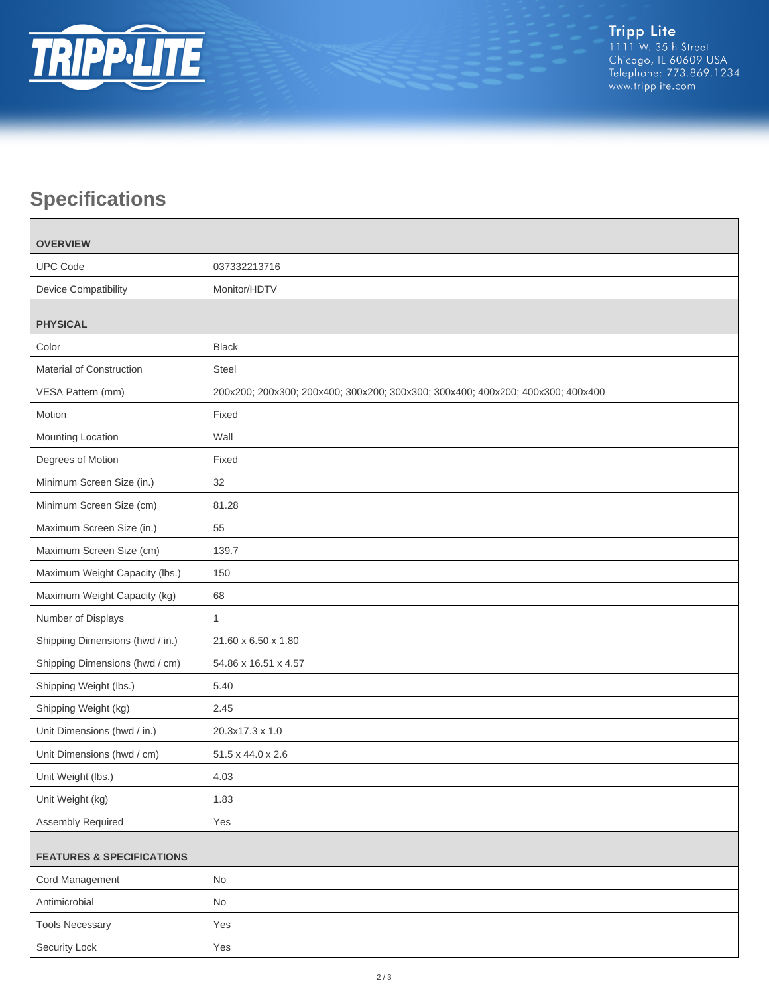

# **Specifications**

 $\blacksquare$ 

| <b>OVERVIEW</b>                      |                                                                                 |  |
|--------------------------------------|---------------------------------------------------------------------------------|--|
| <b>UPC Code</b>                      | 037332213716                                                                    |  |
| Device Compatibility                 | Monitor/HDTV                                                                    |  |
|                                      |                                                                                 |  |
| <b>PHYSICAL</b>                      |                                                                                 |  |
| Color                                | <b>Black</b>                                                                    |  |
| Material of Construction             | <b>Steel</b>                                                                    |  |
| VESA Pattern (mm)                    | 200x200; 200x300; 200x400; 300x200; 300x300; 300x400; 400x200; 400x300; 400x400 |  |
| Motion                               | Fixed                                                                           |  |
| Mounting Location                    | Wall                                                                            |  |
| Degrees of Motion                    | Fixed                                                                           |  |
| Minimum Screen Size (in.)            | 32                                                                              |  |
| Minimum Screen Size (cm)             | 81.28                                                                           |  |
| Maximum Screen Size (in.)            | 55                                                                              |  |
| Maximum Screen Size (cm)             | 139.7                                                                           |  |
| Maximum Weight Capacity (lbs.)       | 150                                                                             |  |
| Maximum Weight Capacity (kg)         | 68                                                                              |  |
| Number of Displays                   | $\mathbf{1}$                                                                    |  |
| Shipping Dimensions (hwd / in.)      | 21.60 x 6.50 x 1.80                                                             |  |
| Shipping Dimensions (hwd / cm)       | 54.86 x 16.51 x 4.57                                                            |  |
| Shipping Weight (lbs.)               | 5.40                                                                            |  |
| Shipping Weight (kg)                 | 2.45                                                                            |  |
| Unit Dimensions (hwd / in.)          | 20.3x17.3 x 1.0                                                                 |  |
| Unit Dimensions (hwd / cm)           | 51.5 x 44.0 x 2.6                                                               |  |
| Unit Weight (lbs.)                   | 4.03                                                                            |  |
| Unit Weight (kg)                     | 1.83                                                                            |  |
| Assembly Required                    | Yes                                                                             |  |
| <b>FEATURES &amp; SPECIFICATIONS</b> |                                                                                 |  |
| Cord Management                      | No                                                                              |  |
| Antimicrobial                        | No                                                                              |  |
| <b>Tools Necessary</b>               | Yes                                                                             |  |
| Security Lock                        | Yes                                                                             |  |